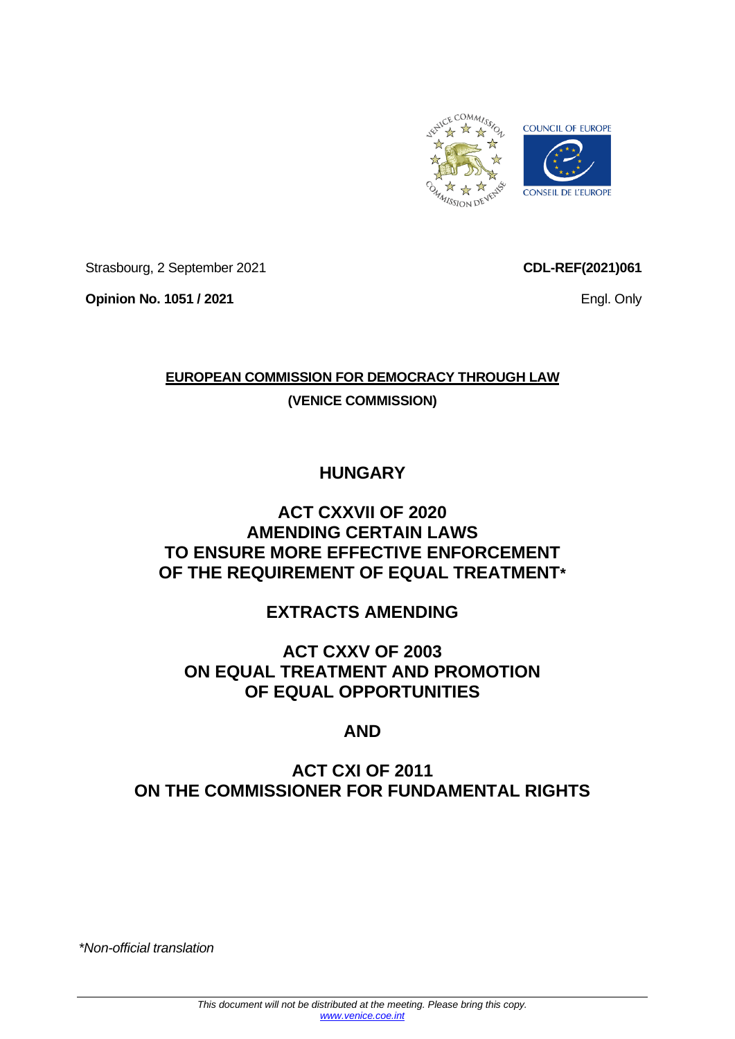

Strasbourg, 2 September 2021

**Opinion No. 1051 / 2021**

**CDL-REF(2021)061**

Engl. Only

### **EUROPEAN COMMISSION FOR DEMOCRACY THROUGH LAW (VENICE COMMISSION)**

# **HUNGARY**

### **ACT CXXVII OF 2020 AMENDING CERTAIN LAWS TO ENSURE MORE EFFECTIVE ENFORCEMENT OF THE REQUIREMENT OF EQUAL TREATMENT\***

# **EXTRACTS AMENDING**

### **ACT CXXV OF 2003 ON EQUAL TREATMENT AND PROMOTION OF EQUAL OPPORTUNITIES**

# **AND**

# **ACT CXI OF 2011 ON THE COMMISSIONER FOR FUNDAMENTAL RIGHTS**

*\*Non-official translation*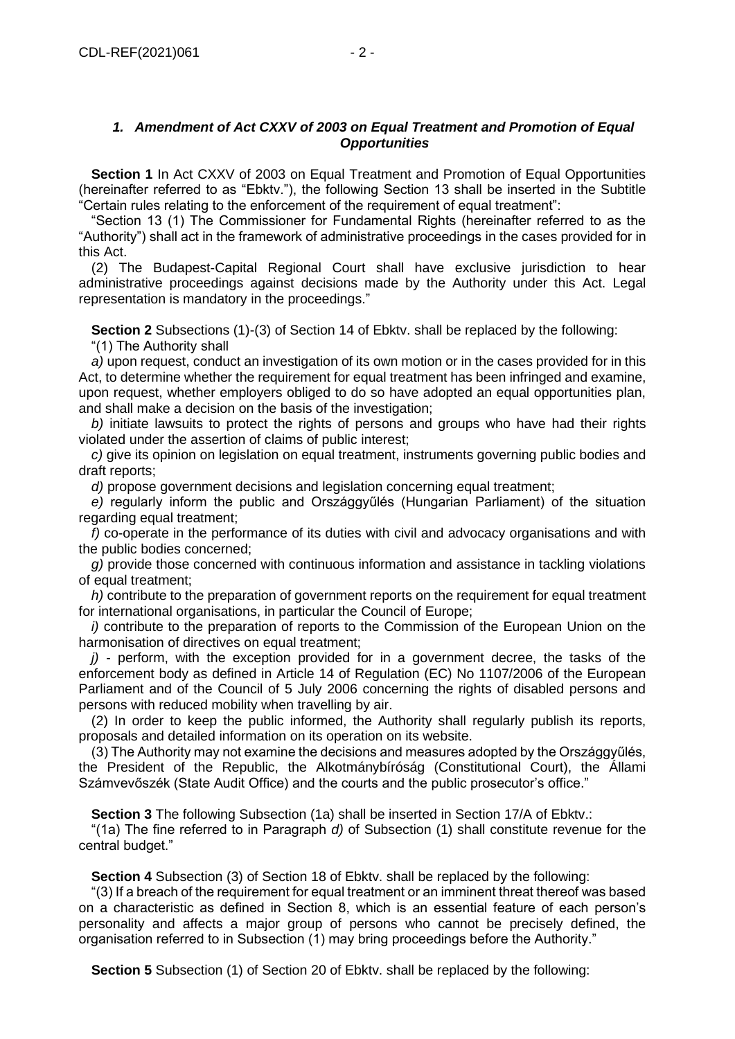#### *1. Amendment of Act CXXV of 2003 on Equal Treatment and Promotion of Equal Opportunities*

**Section 1** In Act CXXV of 2003 on Equal Treatment and Promotion of Equal Opportunities (hereinafter referred to as "Ebktv."), the following Section 13 shall be inserted in the Subtitle "Certain rules relating to the enforcement of the requirement of equal treatment":

"Section 13 (1) The Commissioner for Fundamental Rights (hereinafter referred to as the "Authority") shall act in the framework of administrative proceedings in the cases provided for in this Act.

(2) The Budapest-Capital Regional Court shall have exclusive jurisdiction to hear administrative proceedings against decisions made by the Authority under this Act. Legal representation is mandatory in the proceedings."

**Section 2** Subsections (1)-(3) of Section 14 of Ebktv. shall be replaced by the following: "(1) The Authority shall

*a)* upon request, conduct an investigation of its own motion or in the cases provided for in this Act, to determine whether the requirement for equal treatment has been infringed and examine, upon request, whether employers obliged to do so have adopted an equal opportunities plan, and shall make a decision on the basis of the investigation;

*b)* initiate lawsuits to protect the rights of persons and groups who have had their rights violated under the assertion of claims of public interest;

*c)* give its opinion on legislation on equal treatment, instruments governing public bodies and draft reports;

*d)* propose government decisions and legislation concerning equal treatment;

*e)* regularly inform the public and Országgyűlés (Hungarian Parliament) of the situation regarding equal treatment;

*f)* co-operate in the performance of its duties with civil and advocacy organisations and with the public bodies concerned;

*g)* provide those concerned with continuous information and assistance in tackling violations of equal treatment;

*h)* contribute to the preparation of government reports on the requirement for equal treatment for international organisations, in particular the Council of Europe;

*i)* contribute to the preparation of reports to the Commission of the European Union on the harmonisation of directives on equal treatment:

*j)* - perform, with the exception provided for in a government decree, the tasks of the enforcement body as defined in Article 14 of Regulation (EC) No 1107/2006 of the European Parliament and of the Council of 5 July 2006 concerning the rights of disabled persons and persons with reduced mobility when travelling by air.

(2) In order to keep the public informed, the Authority shall regularly publish its reports, proposals and detailed information on its operation on its website.

(3) The Authority may not examine the decisions and measures adopted by the Országgyűlés, the President of the Republic, the Alkotmánybíróság (Constitutional Court), the Állami Számvevőszék (State Audit Office) and the courts and the public prosecutor's office."

**Section 3** The following Subsection (1a) shall be inserted in Section 17/A of Ebktv.:

"(1a) The fine referred to in Paragraph *d)* of Subsection (1) shall constitute revenue for the central budget."

**Section 4** Subsection (3) of Section 18 of Ebktv. shall be replaced by the following:

"(3) If a breach of the requirement for equal treatment or an imminent threat thereof was based on a characteristic as defined in Section 8, which is an essential feature of each person's personality and affects a major group of persons who cannot be precisely defined, the organisation referred to in Subsection (1) may bring proceedings before the Authority."

**Section 5** Subsection (1) of Section 20 of Ebktv. shall be replaced by the following: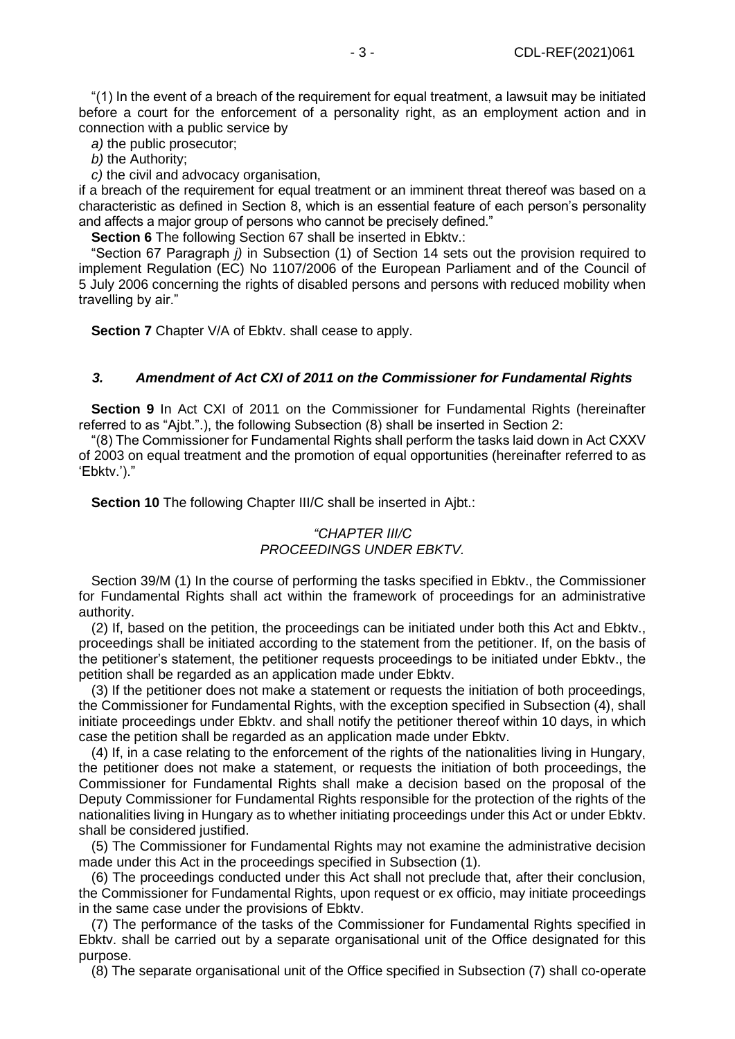"(1) In the event of a breach of the requirement for equal treatment, a lawsuit may be initiated before a court for the enforcement of a personality right, as an employment action and in connection with a public service by

*a)* the public prosecutor;

*b)* the Authority;

*c)* the civil and advocacy organisation,

if a breach of the requirement for equal treatment or an imminent threat thereof was based on a characteristic as defined in Section 8, which is an essential feature of each person's personality and affects a major group of persons who cannot be precisely defined."

**Section 6** The following Section 67 shall be inserted in Ebktv.:

"Section 67 Paragraph *j)* in Subsection (1) of Section 14 sets out the provision required to implement Regulation (EC) No 1107/2006 of the European Parliament and of the Council of 5 July 2006 concerning the rights of disabled persons and persons with reduced mobility when travelling by air."

**Section 7** Chapter V/A of Ebkty. shall cease to apply.

#### *3. Amendment of Act CXI of 2011 on the Commissioner for Fundamental Rights*

**Section 9** In Act CXI of 2011 on the Commissioner for Fundamental Rights (hereinafter referred to as "Ajbt.".), the following Subsection (8) shall be inserted in Section 2:

"(8) The Commissioner for Fundamental Rights shall perform the tasks laid down in Act CXXV of 2003 on equal treatment and the promotion of equal opportunities (hereinafter referred to as 'Ebktv.')."

**Section 10** The following Chapter III/C shall be inserted in Ajbt.:

#### *"CHAPTER III/C PROCEEDINGS UNDER EBKTV.*

Section 39/M (1) In the course of performing the tasks specified in Ebktv., the Commissioner for Fundamental Rights shall act within the framework of proceedings for an administrative authority.

(2) If, based on the petition, the proceedings can be initiated under both this Act and Ebktv., proceedings shall be initiated according to the statement from the petitioner. If, on the basis of the petitioner's statement, the petitioner requests proceedings to be initiated under Ebktv., the petition shall be regarded as an application made under Ebktv.

(3) If the petitioner does not make a statement or requests the initiation of both proceedings, the Commissioner for Fundamental Rights, with the exception specified in Subsection (4), shall initiate proceedings under Ebktv. and shall notify the petitioner thereof within 10 days, in which case the petition shall be regarded as an application made under Ebktv.

(4) If, in a case relating to the enforcement of the rights of the nationalities living in Hungary, the petitioner does not make a statement, or requests the initiation of both proceedings, the Commissioner for Fundamental Rights shall make a decision based on the proposal of the Deputy Commissioner for Fundamental Rights responsible for the protection of the rights of the nationalities living in Hungary as to whether initiating proceedings under this Act or under Ebktv. shall be considered justified.

(5) The Commissioner for Fundamental Rights may not examine the administrative decision made under this Act in the proceedings specified in Subsection (1).

(6) The proceedings conducted under this Act shall not preclude that, after their conclusion, the Commissioner for Fundamental Rights, upon request or ex officio, may initiate proceedings in the same case under the provisions of Ebktv.

(7) The performance of the tasks of the Commissioner for Fundamental Rights specified in Ebktv. shall be carried out by a separate organisational unit of the Office designated for this purpose.

(8) The separate organisational unit of the Office specified in Subsection (7) shall co-operate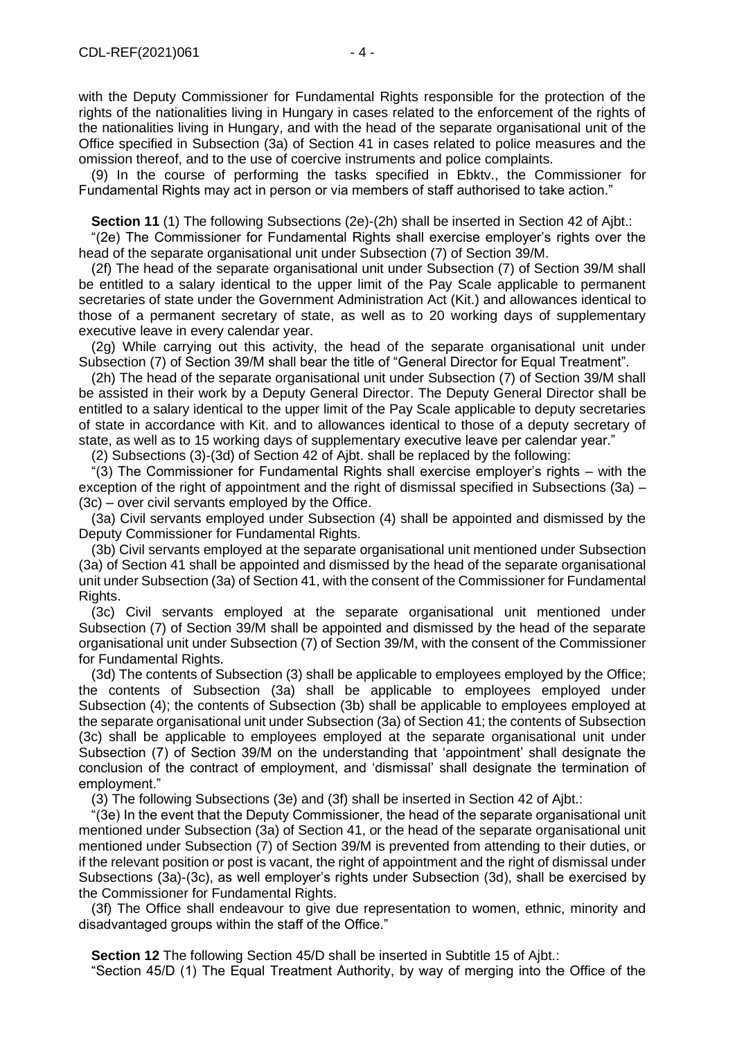with the Deputy Commissioner for Fundamental Rights responsible for the protection of the rights of the nationalities living in Hungary in cases related to the enforcement of the rights of the nationalities living in Hungary, and with the head of the separate organisational unit of the Office specified in Subsection (3a) of Section 41 in cases related to police measures and the omission thereof, and to the use of coercive instruments and police complaints.

(9) In the course of performing the tasks specified in Ebktv., the Commissioner for Fundamental Rights may act in person or via members of staff authorised to take action."

**Section 11** (1) The following Subsections (2e)-(2h) shall be inserted in Section 42 of Aibt.:

"(2e) The Commissioner for Fundamental Rights shall exercise employer's rights over the head of the separate organisational unit under Subsection (7) of Section 39/M.

(2f) The head of the separate organisational unit under Subsection (7) of Section 39/M shall be entitled to a salary identical to the upper limit of the Pay Scale applicable to permanent secretaries of state under the Government Administration Act (Kit.) and allowances identical to those of a permanent secretary of state, as well as to 20 working days of supplementary executive leave in every calendar year.

(2g) While carrying out this activity, the head of the separate organisational unit under Subsection (7) of Section 39/M shall bear the title of "General Director for Equal Treatment".

(2h) The head of the separate organisational unit under Subsection (7) of Section 39/M shall be assisted in their work by a Deputy General Director. The Deputy General Director shall be entitled to a salary identical to the upper limit of the Pay Scale applicable to deputy secretaries of state in accordance with Kit. and to allowances identical to those of a deputy secretary of state, as well as to 15 working days of supplementary executive leave per calendar year."

(2) Subsections (3)-(3d) of Section 42 of Ajbt. shall be replaced by the following:

"(3) The Commissioner for Fundamental Rights shall exercise employer's rights – with the exception of the right of appointment and the right of dismissal specified in Subsections (3a) – (3c) – over civil servants employed by the Office.

(3a) Civil servants employed under Subsection (4) shall be appointed and dismissed by the Deputy Commissioner for Fundamental Rights.

(3b) Civil servants employed at the separate organisational unit mentioned under Subsection (3a) of Section 41 shall be appointed and dismissed by the head of the separate organisational unit under Subsection (3a) of Section 41, with the consent of the Commissioner for Fundamental Rights.

(3c) Civil servants employed at the separate organisational unit mentioned under Subsection (7) of Section 39/M shall be appointed and dismissed by the head of the separate organisational unit under Subsection (7) of Section 39/M, with the consent of the Commissioner for Fundamental Rights.

(3d) The contents of Subsection (3) shall be applicable to employees employed by the Office; the contents of Subsection (3a) shall be applicable to employees employed under Subsection (4); the contents of Subsection (3b) shall be applicable to employees employed at the separate organisational unit under Subsection (3a) of Section 41; the contents of Subsection (3c) shall be applicable to employees employed at the separate organisational unit under Subsection (7) of Section 39/M on the understanding that 'appointment' shall designate the conclusion of the contract of employment, and 'dismissal' shall designate the termination of employment."

(3) The following Subsections (3e) and (3f) shall be inserted in Section 42 of Ajbt.:

"(3e) In the event that the Deputy Commissioner, the head of the separate organisational unit mentioned under Subsection (3a) of Section 41, or the head of the separate organisational unit mentioned under Subsection (7) of Section 39/M is prevented from attending to their duties, or if the relevant position or post is vacant, the right of appointment and the right of dismissal under Subsections (3a)-(3c), as well employer's rights under Subsection (3d), shall be exercised by the Commissioner for Fundamental Rights.

(3f) The Office shall endeavour to give due representation to women, ethnic, minority and disadvantaged groups within the staff of the Office."

**Section 12** The following Section 45/D shall be inserted in Subtitle 15 of Ajbt.:

"Section 45/D (1) The Equal Treatment Authority, by way of merging into the Office of the